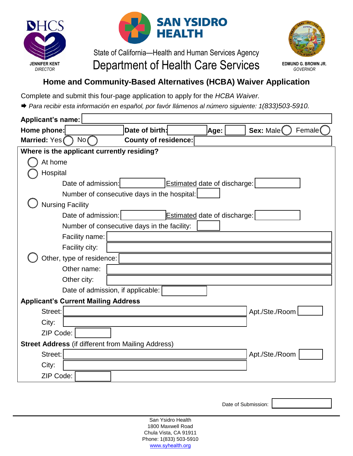



## State of California—Health and Human Services Agency **JENNIFER KENT CARECTOR Department of Health Care Services**



**EDMUND G. BROWN JR.** *GOVERNOR*

## **Home and Community-Based Alternatives (HCBA) Waiver Application**

Complete and submit this four-page application to apply for the *HCBA Waiver.*

*Para recibir esta información en español, por favór llámenos al número siguiente: 1(833)503-5910.*

| <b>Applicant's name:</b>                                  |                                             |                              |                      |  |  |
|-----------------------------------------------------------|---------------------------------------------|------------------------------|----------------------|--|--|
| Home phone:                                               | Date of birth:                              | Age:                         | Female(<br>Sex: Male |  |  |
| Married: Yes(<br>No(                                      | <b>County of residence:</b>                 |                              |                      |  |  |
| Where is the applicant currently residing?                |                                             |                              |                      |  |  |
| At home                                                   |                                             |                              |                      |  |  |
| Hospital                                                  |                                             |                              |                      |  |  |
| Date of admission:                                        |                                             | Estimated date of discharge: |                      |  |  |
|                                                           | Number of consecutive days in the hospital: |                              |                      |  |  |
| <b>Nursing Facility</b>                                   |                                             |                              |                      |  |  |
| Date of admission:                                        |                                             | Estimated date of discharge: |                      |  |  |
|                                                           | Number of consecutive days in the facility: |                              |                      |  |  |
| Facility name:                                            |                                             |                              |                      |  |  |
| Facility city:                                            |                                             |                              |                      |  |  |
| Other, type of residence:                                 |                                             |                              |                      |  |  |
| Other name:                                               |                                             |                              |                      |  |  |
| Other city:                                               |                                             |                              |                      |  |  |
| Date of admission, if applicable:                         |                                             |                              |                      |  |  |
| <b>Applicant's Current Mailing Address</b>                |                                             |                              |                      |  |  |
| Street:                                                   |                                             |                              | Apt./Ste./Room       |  |  |
| City:                                                     |                                             |                              |                      |  |  |
| ZIP Code:                                                 |                                             |                              |                      |  |  |
| <b>Street Address (if different from Mailing Address)</b> |                                             |                              |                      |  |  |
| Street:                                                   |                                             |                              | Apt./Ste./Room       |  |  |
| City:                                                     |                                             |                              |                      |  |  |
| ZIP Code:                                                 |                                             |                              |                      |  |  |
|                                                           |                                             |                              |                      |  |  |

Date of Submission:

San Ysidro Health 1800 Maxwell Road Chula Vista, CA 91911 Phone: 1(833) 503-5910 www.[syhealth.or](http://www.syhc.org/)g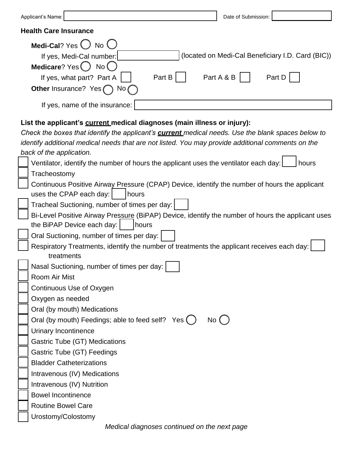| Applicant's Name:                                                                                                                                                                     |        | Date of Submission: |                                                   |  |
|---------------------------------------------------------------------------------------------------------------------------------------------------------------------------------------|--------|---------------------|---------------------------------------------------|--|
| <b>Health Care Insurance</b>                                                                                                                                                          |        |                     |                                                   |  |
| Medi-Cal? Yes $\bigcirc$ No $\bigcirc$<br>If yes, Medi-Cal number:<br>Medicare? Yes O No O                                                                                            |        |                     | (located on Medi-Cal Beneficiary I.D. Card (BIC)) |  |
| If yes, what part? Part A<br>Other Insurance? Yes (                                                                                                                                   | Part B | Part A & B          | Part D                                            |  |
| If yes, name of the insurance:                                                                                                                                                        |        |                     |                                                   |  |
| List the applicant's current medical diagnoses (main illness or injury):<br>Check the boxes that identify the applicant's <b>current</b> medical needs. Use the blank spaces below to |        |                     |                                                   |  |

| identify additional medical needs that are not listed. You may provide additional comments on the |
|---------------------------------------------------------------------------------------------------|
| back of the application.                                                                          |
| Ventilator, identify the number of hours the applicant uses the ventilator each day:<br>hours     |
| Tracheostomy                                                                                      |
| Continuous Positive Airway Pressure (CPAP) Device, identify the number of hours the applicant     |
| uses the CPAP each day:<br>hours                                                                  |
| Tracheal Suctioning, number of times per day:                                                     |
| Bi-Level Positive Airway Pressure (BiPAP) Device, identify the number of hours the applicant uses |
| the BiPAP Device each day:<br>hours                                                               |
| Oral Suctioning, number of times per day:                                                         |
| Respiratory Treatments, identify the number of treatments the applicant receives each day:        |
| treatments                                                                                        |
| Nasal Suctioning, number of times per day:                                                        |
| Room Air Mist                                                                                     |
| Continuous Use of Oxygen                                                                          |
| Oxygen as needed                                                                                  |
| Oral (by mouth) Medications                                                                       |
| Oral (by mouth) Feedings; able to feed self? Yes ()<br>No()                                       |
| <b>Urinary Incontinence</b>                                                                       |
| Gastric Tube (GT) Medications                                                                     |
| Gastric Tube (GT) Feedings                                                                        |
| <b>Bladder Catheterizations</b>                                                                   |
| Intravenous (IV) Medications                                                                      |
| Intravenous (IV) Nutrition                                                                        |
| <b>Bowel Incontinence</b>                                                                         |
| <b>Routine Bowel Care</b>                                                                         |
| Urostomy/Colostomy                                                                                |
|                                                                                                   |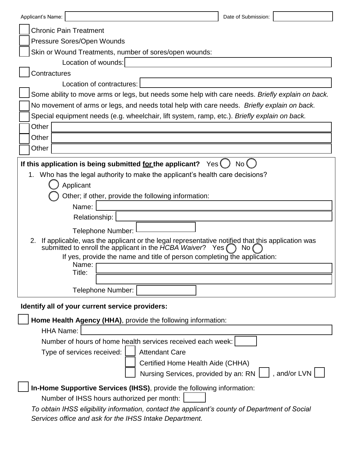| Applicant's Name:                                                                                                                                                           |                                                                                                  | Date of Submission: |  |  |  |
|-----------------------------------------------------------------------------------------------------------------------------------------------------------------------------|--------------------------------------------------------------------------------------------------|---------------------|--|--|--|
|                                                                                                                                                                             | <b>Chronic Pain Treatment</b>                                                                    |                     |  |  |  |
|                                                                                                                                                                             | Pressure Sores/Open Wounds                                                                       |                     |  |  |  |
| Skin or Wound Treatments, number of sores/open wounds:                                                                                                                      |                                                                                                  |                     |  |  |  |
|                                                                                                                                                                             | Location of wounds:                                                                              |                     |  |  |  |
| Contractures                                                                                                                                                                |                                                                                                  |                     |  |  |  |
|                                                                                                                                                                             | Location of contractures:                                                                        |                     |  |  |  |
|                                                                                                                                                                             | Some ability to move arms or legs, but needs some help with care needs. Briefly explain on back. |                     |  |  |  |
|                                                                                                                                                                             | No movement of arms or legs, and needs total help with care needs. Briefly explain on back.      |                     |  |  |  |
|                                                                                                                                                                             | Special equipment needs (e.g. wheelchair, lift system, ramp, etc.). Briefly explain on back.     |                     |  |  |  |
| Other                                                                                                                                                                       |                                                                                                  |                     |  |  |  |
| Other                                                                                                                                                                       |                                                                                                  |                     |  |  |  |
| Other                                                                                                                                                                       |                                                                                                  |                     |  |  |  |
| If this application is being submitted <u>for</u> the applicant? $Yes($<br><b>No</b>                                                                                        |                                                                                                  |                     |  |  |  |
| 1.                                                                                                                                                                          | Who has the legal authority to make the applicant's health care decisions?                       |                     |  |  |  |
|                                                                                                                                                                             | Applicant                                                                                        |                     |  |  |  |
|                                                                                                                                                                             | Other; if other, provide the following information:                                              |                     |  |  |  |
|                                                                                                                                                                             | Name:                                                                                            |                     |  |  |  |
|                                                                                                                                                                             | Relationship:                                                                                    |                     |  |  |  |
|                                                                                                                                                                             | <b>Telephone Number:</b>                                                                         |                     |  |  |  |
| If applicable, was the applicant or the legal representative notified that this application was<br>2.<br>submitted to enroll the applicant in the HCBA Waiver?<br>Yes<br>No |                                                                                                  |                     |  |  |  |
|                                                                                                                                                                             | If yes, provide the name and title of person completing the application:                         |                     |  |  |  |
|                                                                                                                                                                             | Name:<br>Title:                                                                                  |                     |  |  |  |
|                                                                                                                                                                             |                                                                                                  |                     |  |  |  |
|                                                                                                                                                                             | <b>Telephone Number:</b>                                                                         |                     |  |  |  |
| Identify all of your current service providers:                                                                                                                             |                                                                                                  |                     |  |  |  |
| Home Health Agency (HHA), provide the following information:                                                                                                                |                                                                                                  |                     |  |  |  |
| <b>HHA Name:</b>                                                                                                                                                            |                                                                                                  |                     |  |  |  |
| Number of hours of home health services received each week:                                                                                                                 |                                                                                                  |                     |  |  |  |
|                                                                                                                                                                             | Type of services received:<br><b>Attendant Care</b>                                              |                     |  |  |  |
|                                                                                                                                                                             | Certified Home Health Aide (CHHA)                                                                |                     |  |  |  |
|                                                                                                                                                                             | Nursing Services, provided by an: RN                                                             | , and/or LVN        |  |  |  |
| In-Home Supportive Services (IHSS), provide the following information:                                                                                                      |                                                                                                  |                     |  |  |  |
| Number of IHSS hours authorized per month:                                                                                                                                  |                                                                                                  |                     |  |  |  |
| To obtain IHSS eligibility information, contact the applicant's county of Department of Social                                                                              |                                                                                                  |                     |  |  |  |
|                                                                                                                                                                             | Services office and ask for the IHSS Intake Department.                                          |                     |  |  |  |